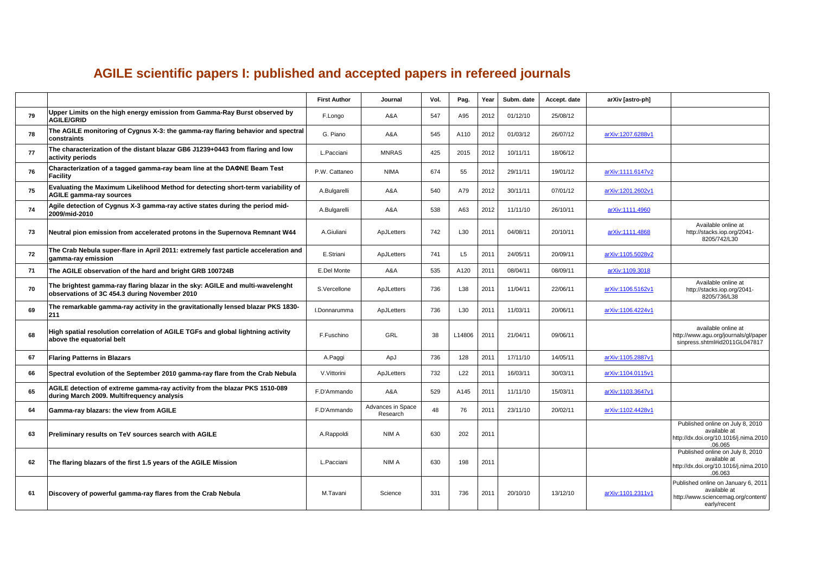## **AGILE scientific papers I: published and accepted papers in refereed journals**

|    |                                                                                                                                | <b>First Author</b> | Journal                       | Vol. | Pag.           | Year | Subm. date | Accept. date | arXiv [astro-ph]  |                                                                                                           |
|----|--------------------------------------------------------------------------------------------------------------------------------|---------------------|-------------------------------|------|----------------|------|------------|--------------|-------------------|-----------------------------------------------------------------------------------------------------------|
| 79 | Upper Limits on the high energy emission from Gamma-Ray Burst observed by<br><b>AGILE/GRID</b>                                 | F.Longo             | A&A                           | 547  | A95            | 2012 | 01/12/10   | 25/08/12     |                   |                                                                                                           |
| 78 | The AGILE monitoring of Cygnus X-3: the gamma-ray flaring behavior and spectral<br>constraints                                 | G. Piano            | A&A                           | 545  | A110           | 2012 | 01/03/12   | 26/07/12     | arXiv:1207.6288v1 |                                                                                                           |
| 77 | The characterization of the distant blazar GB6 J1239+0443 from flaring and low<br>activity periods                             | L.Pacciani          | <b>MNRAS</b>                  | 425  | 2015           | 2012 | 10/11/11   | 18/06/12     |                   |                                                                                                           |
| 76 | Characterization of a tagged gamma-ray beam line at the DAΦNE Beam Test<br>Facility                                            | P.W. Cattaneo       | <b>NIMA</b>                   | 674  | 55             | 2012 | 29/11/11   | 19/01/12     | arXiv:1111.6147v2 |                                                                                                           |
| 75 | Evaluating the Maximum Likelihood Method for detecting short-term variability of<br><b>AGILE gamma-ray sources</b>             | A.Bulgarelli        | A&A                           | 540  | A79            | 2012 | 30/11/11   | 07/01/12     | arXiv:1201.2602v1 |                                                                                                           |
| 74 | Agile detection of Cygnus X-3 gamma-ray active states during the period mid-<br>2009/mid-2010                                  | A.Bulgarelli        | A&A                           | 538  | A63            | 2012 | 11/11/10   | 26/10/11     | arXiv:1111.4960   |                                                                                                           |
| 73 | Neutral pion emission from accelerated protons in the Supernova Remnant W44                                                    | A.Giuliani          | ApJLetters                    | 742  | L30            | 2011 | 04/08/11   | 20/10/11     | arXiv:1111.4868   | Available online at<br>http://stacks.iop.org/2041-<br>8205/742/L30                                        |
| 72 | The Crab Nebula super-flare in April 2011: extremely fast particle acceleration and<br>gamma-ray emission                      | E.Striani           | ApJLetters                    | 741  | L <sub>5</sub> | 2011 | 24/05/11   | 20/09/11     | arXiv:1105.5028v2 |                                                                                                           |
| 71 | The AGILE observation of the hard and bright GRB 100724B                                                                       | E.Del Monte         | A&A                           | 535  | A120           | 2011 | 08/04/11   | 08/09/11     | arXiv:1109.3018   |                                                                                                           |
| 70 | The brightest gamma-ray flaring blazar in the sky: AGILE and multi-wavelenght<br>observations of 3C 454.3 during November 2010 | S.Vercellone        | ApJLetters                    | 736  | L38            | 2011 | 11/04/11   | 22/06/11     | arXiv:1106.5162v1 | Available online at<br>http://stacks.iop.org/2041-<br>8205/736/L38                                        |
| 69 | The remarkable gamma-ray activity in the gravitationally lensed blazar PKS 1830-<br>211                                        | I.Donnarumma        | ApJLetters                    | 736  | L30            | 2011 | 11/03/11   | 20/06/11     | arXiv:1106.4224v1 |                                                                                                           |
| 68 | High spatial resolution correlation of AGILE TGFs and global lightning activity<br>above the equatorial belt                   | F.Fuschino          | <b>GRL</b>                    | 38   | L14806         | 2011 | 21/04/11   | 09/06/11     |                   | available online at<br>http://www.agu.org/journals/gl/paper<br>sinpress.shtml#id2011GL047817              |
| 67 | <b>Flaring Patterns in Blazars</b>                                                                                             | A.Paggi             | ApJ                           | 736  | 128            | 2011 | 17/11/10   | 14/05/11     | arXiv:1105.2887v1 |                                                                                                           |
| 66 | Spectral evolution of the September 2010 gamma-ray flare from the Crab Nebula                                                  | V.Vittorini         | ApJLetters                    | 732  | L22            | 2011 | 16/03/11   | 30/03/11     | arXiv:1104.0115v1 |                                                                                                           |
| 65 | AGILE detection of extreme gamma-ray activity from the blazar PKS 1510-089<br>during March 2009. Multifrequency analysis       | F.D'Ammando         | A&A                           | 529  | A145           | 2011 | 11/11/10   | 15/03/11     | arXiv:1103.3647v1 |                                                                                                           |
| 64 | Gamma-ray blazars: the view from AGILE                                                                                         | F.D'Ammando         | Advances in Space<br>Research | 48   | 76             | 2011 | 23/11/10   | 20/02/11     | arXiv:1102.4428v1 |                                                                                                           |
| 63 | Preliminary results on TeV sources search with AGILE                                                                           | A.Rappoldi          | NIM A                         | 630  | 202            | 2011 |            |              |                   | Published online on July 8, 2010<br>available at<br>http://dx.doi.org/10.1016/j.nima.2010<br>.06.065      |
| 62 | The flaring blazars of the first 1.5 years of the AGILE Mission                                                                | L.Pacciani          | NIM A                         | 630  | 198            | 2011 |            |              |                   | Published online on July 8, 2010<br>available at<br>http://dx.doi.org/10.1016/j.nima.2010<br>.06.063      |
| 61 | Discovery of powerful gamma-ray flares from the Crab Nebula                                                                    | M.Tavani            | Science                       | 331  | 736            | 2011 | 20/10/10   | 13/12/10     | arXiv:1101.2311v1 | Published online on January 6, 2011<br>available at<br>http://www.sciencemag.org/content/<br>early/recent |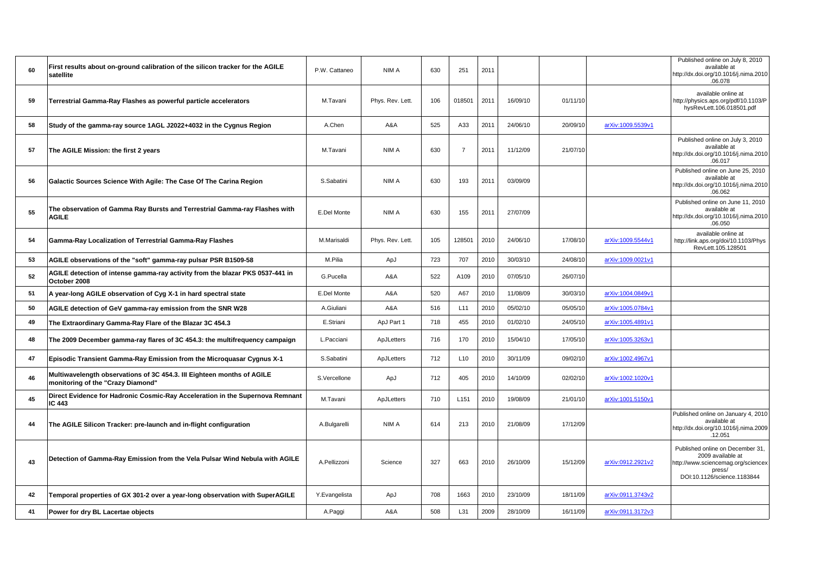| 60 | First results about on-ground calibration of the silicon tracker for the AGILE<br>satellite                 | P.W. Cattaneo | NIM A            | 630 | 251              | 2011 |          |          |                   | Published online on July 8, 2010<br>available at<br>http://dx.doi.org/10.1016/j.nima.2010<br>.06.078                                 |
|----|-------------------------------------------------------------------------------------------------------------|---------------|------------------|-----|------------------|------|----------|----------|-------------------|--------------------------------------------------------------------------------------------------------------------------------------|
| 59 | Terrestrial Gamma-Ray Flashes as powerful particle accelerators                                             | M.Tavani      | Phys. Rev. Lett. | 106 | 018501           | 2011 | 16/09/10 | 01/11/10 |                   | available online at<br>http://physics.aps.org/pdf/10.1103/P<br>hysRevLett.106.018501.pdf                                             |
| 58 | Study of the gamma-ray source 1AGL J2022+4032 in the Cygnus Region                                          | A.Chen        | A&A              | 525 | A33              | 2011 | 24/06/10 | 20/09/10 | arXiv:1009.5539v1 |                                                                                                                                      |
| 57 | The AGILE Mission: the first 2 years                                                                        | M.Tavani      | NIM A            | 630 | $\overline{7}$   | 2011 | 11/12/09 | 21/07/10 |                   | Published online on July 3, 2010<br>available at<br>http://dx.doi.org/10.1016/j.nima.2010<br>.06.017                                 |
| 56 | Galactic Sources Science With Agile: The Case Of The Carina Region                                          | S.Sabatini    | NIM A            | 630 | 193              | 2011 | 03/09/09 |          |                   | Published online on June 25, 2010<br>available at<br>http://dx.doi.org/10.1016/j.nima.2010<br>.06.062                                |
| 55 | The observation of Gamma Ray Bursts and Terrestrial Gamma-ray Flashes with<br><b>AGILE</b>                  | E.Del Monte   | NIM A            | 630 | 155              | 2011 | 27/07/09 |          |                   | Published online on June 11, 2010<br>available at<br>http://dx.doi.org/10.1016/j.nima.2010<br>.06.050                                |
| 54 | Gamma-Ray Localization of Terrestrial Gamma-Ray Flashes                                                     | M.Marisaldi   | Phys. Rev. Lett. | 105 | 128501           | 2010 | 24/06/10 | 17/08/10 | arXiv:1009.5544v1 | available online at<br>http://link.aps.org/doi/10.1103/Phys<br>RevLett.105.128501                                                    |
| 53 | AGILE observations of the "soft" gamma-ray pulsar PSR B1509-58                                              | M.Pilia       | ApJ              | 723 | 707              | 2010 | 30/03/10 | 24/08/10 | arXiv:1009.0021v1 |                                                                                                                                      |
| 52 | AGILE detection of intense gamma-ray activity from the blazar PKS 0537-441 in<br>October 2008               | G.Pucella     | A&A              | 522 | A109             | 2010 | 07/05/10 | 26/07/10 |                   |                                                                                                                                      |
| 51 | A year-long AGILE observation of Cyg X-1 in hard spectral state                                             | E.Del Monte   | A&A              | 520 | A67              | 2010 | 11/08/09 | 30/03/10 | arXiv:1004.0849v1 |                                                                                                                                      |
| 50 | AGILE detection of GeV gamma-ray emission from the SNR W28                                                  | A.Giuliani    | A&A              | 516 | L11              | 2010 | 05/02/10 | 05/05/10 | arXiv:1005.0784v1 |                                                                                                                                      |
| 49 | The Extraordinary Gamma-Ray Flare of the Blazar 3C 454.3                                                    | E.Striani     | ApJ Part 1       | 718 | 455              | 2010 | 01/02/10 | 24/05/10 | arXiv:1005.4891v1 |                                                                                                                                      |
| 48 | The 2009 December gamma-ray flares of 3C 454.3: the multifrequency campaign                                 | L.Pacciani    | ApJLetters       | 716 | 170              | 2010 | 15/04/10 | 17/05/10 | arXiv:1005.3263v1 |                                                                                                                                      |
| 47 | Episodic Transient Gamma-Ray Emission from the Microquasar Cygnus X-1                                       | S.Sabatini    | ApJLetters       | 712 | L10              | 2010 | 30/11/09 | 09/02/10 | arXiv:1002.4967v1 |                                                                                                                                      |
| 46 | Multiwavelength observations of 3C 454.3. III Eighteen months of AGILE<br>monitoring of the "Crazy Diamond" | S.Vercellone  | ApJ              | 712 | 405              | 2010 | 14/10/09 | 02/02/10 | arXiv:1002.1020v1 |                                                                                                                                      |
| 45 | Direct Evidence for Hadronic Cosmic-Ray Acceleration in the Supernova Remnant<br><b>IC 443</b>              | M.Tavani      | ApJLetters       | 710 | L <sub>151</sub> | 2010 | 19/08/09 | 21/01/10 | arXiv:1001.5150v1 |                                                                                                                                      |
| 44 | The AGILE Silicon Tracker: pre-launch and in-flight configuration                                           | A.Bulgarelli  | NIM A            | 614 | 213              | 2010 | 21/08/09 | 17/12/09 |                   | Published online on January 4, 2010<br>available at<br>http://dx.doi.org/10.1016/j.nima.2009<br>.12.051                              |
| 43 | Detection of Gamma-Ray Emission from the Vela Pulsar Wind Nebula with AGILE                                 | A.Pellizzoni  | Science          | 327 | 663              | 2010 | 26/10/09 | 15/12/09 | arXiv:0912.2921v2 | Published online on December 31,<br>2009 available at<br>http://www.sciencemag.org/sciencex<br>press/<br>DOI:10.1126/science.1183844 |
| 42 | Temporal properties of GX 301-2 over a year-long observation with SuperAGILE                                | Y.Evangelista | ApJ              | 708 | 1663             | 2010 | 23/10/09 | 18/11/09 | arXiv:0911.3743v2 |                                                                                                                                      |
| 41 | Power for dry BL Lacertae objects                                                                           | A.Paggi       | A&A              | 508 | L31              | 2009 | 28/10/09 | 16/11/09 | arXiv:0911.3172v3 |                                                                                                                                      |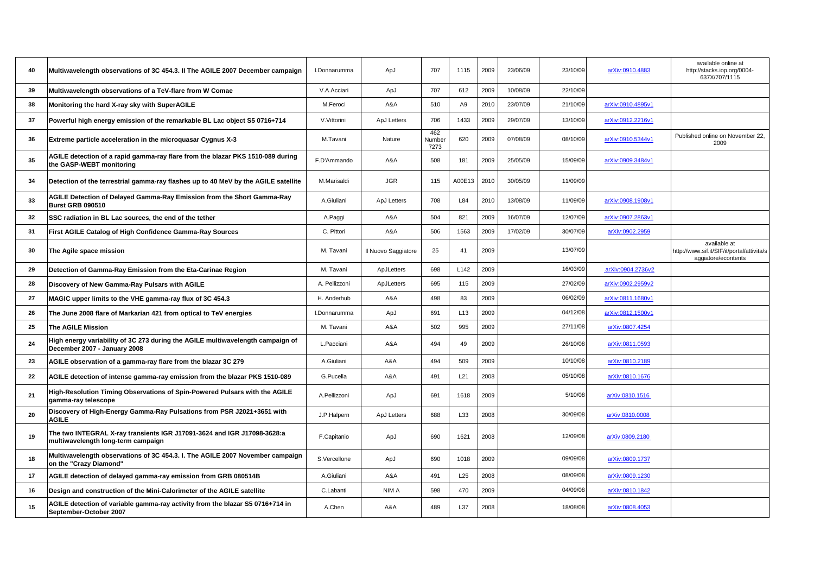| 40 | Multiwavelength observations of 3C 454.3. II The AGILE 2007 December campaign                                  | I.Donnarumma  | ApJ                 | 707                   | 1115             | 2009 | 23/06/09 | 23/10/09 | arXiv:0910.4883   | available online at<br>http://stacks.iop.org/0004-<br>637X/707/1115               |
|----|----------------------------------------------------------------------------------------------------------------|---------------|---------------------|-----------------------|------------------|------|----------|----------|-------------------|-----------------------------------------------------------------------------------|
| 39 | Multiwavelength observations of a TeV-flare from W Comae                                                       | V.A.Acciari   | ApJ                 | 707                   | 612              | 2009 | 10/08/09 | 22/10/09 |                   |                                                                                   |
| 38 | Monitoring the hard X-ray sky with SuperAGILE                                                                  | M.Feroci      | A&A                 | 510                   | A9               | 2010 | 23/07/09 | 21/10/09 | arXiv:0910.4895v1 |                                                                                   |
| 37 | Powerful high energy emission of the remarkable BL Lac object S5 0716+714                                      | V.Vittorini   | ApJ Letters         | 706                   | 1433             | 2009 | 29/07/09 | 13/10/09 | arXiv:0912.2216v1 |                                                                                   |
| 36 | Extreme particle acceleration in the microquasar Cygnus X-3                                                    | M.Tavani      | Nature              | 462<br>Number<br>7273 | 620              | 2009 | 07/08/09 | 08/10/09 | arXiv:0910.5344v1 | Published online on November 22,<br>2009                                          |
| 35 | AGILE detection of a rapid gamma-ray flare from the blazar PKS 1510-089 during<br>the GASP-WEBT monitoring     | F.D'Ammando   | A&A                 | 508                   | 181              | 2009 | 25/05/09 | 15/09/09 | arXiv:0909.3484v1 |                                                                                   |
| 34 | Detection of the terrestrial gamma-ray flashes up to 40 MeV by the AGILE satellite                             | M.Marisaldi   | <b>JGR</b>          | 115                   | A00E13           | 2010 | 30/05/09 | 11/09/09 |                   |                                                                                   |
| 33 | AGILE Detection of Delayed Gamma-Ray Emission from the Short Gamma-Ray<br><b>Burst GRB 090510</b>              | A.Giuliani    | ApJ Letters         | 708                   | L84              | 2010 | 13/08/09 | 11/09/09 | arXiv:0908.1908v1 |                                                                                   |
| 32 | SSC radiation in BL Lac sources, the end of the tether                                                         | A.Paggi       | A&A                 | 504                   | 821              | 2009 | 16/07/09 | 12/07/09 | arXiv:0907.2863v1 |                                                                                   |
| 31 | First AGILE Catalog of High Confidence Gamma-Ray Sources                                                       | C. Pittori    | A&A                 | 506                   | 1563             | 2009 | 17/02/09 | 30/07/09 | arXiv:0902.2959   |                                                                                   |
| 30 | The Agile space mission                                                                                        | M. Tavani     | Il Nuovo Saggiatore | 25                    | 41               | 2009 |          | 13/07/09 |                   | available at<br>http://www.sif.it/SIF/it/portal/attivita/s<br>aggiatore/econtents |
| 29 | Detection of Gamma-Ray Emission from the Eta-Carinae Region                                                    | M. Tavani     | ApJLetters          | 698                   | L <sub>142</sub> | 2009 |          | 16/03/09 | arXiv:0904.2736v2 |                                                                                   |
| 28 | Discovery of New Gamma-Ray Pulsars with AGILE                                                                  | A. Pellizzoni | ApJLetters          | 695                   | 115              | 2009 |          | 27/02/09 | arXiv:0902.2959v2 |                                                                                   |
| 27 | MAGIC upper limits to the VHE gamma-ray flux of 3C 454.3                                                       | H. Anderhub   | A&A                 | 498                   | 83               | 2009 |          | 06/02/09 | arXiv:0811.1680v1 |                                                                                   |
| 26 | The June 2008 flare of Markarian 421 from optical to TeV energies                                              | I.Donnarumma  | ApJ                 | 691                   | L <sub>13</sub>  | 2009 |          | 04/12/08 | arXiv:0812.1500v1 |                                                                                   |
| 25 | <b>The AGILE Mission</b>                                                                                       | M. Tavani     | A&A                 | 502                   | 995              | 2009 |          | 27/11/08 | arXiv:0807.4254   |                                                                                   |
| 24 | High energy variability of 3C 273 during the AGILE multiwavelength campaign of<br>December 2007 - January 2008 | L.Pacciani    | A&A                 | 494                   | 49               | 2009 |          | 26/10/08 | arXiv:0811.0593   |                                                                                   |
| 23 | AGILE observation of a gamma-ray flare from the blazar 3C 279                                                  | A.Giuliani    | A&A                 | 494                   | 509              | 2009 |          | 10/10/08 | arXiv:0810.2189   |                                                                                   |
| 22 | AGILE detection of intense gamma-ray emission from the blazar PKS 1510-089                                     | G.Pucella     | A&A                 | 491                   | L21              | 2008 |          | 05/10/08 | arXiv:0810.1676   |                                                                                   |
| 21 | High-Resolution Timing Observations of Spin-Powered Pulsars with the AGILE<br>gamma-ray telescope              | A.Pellizzoni  | ApJ                 | 691                   | 1618             | 2009 |          | 5/10/08  | arXiv:0810.1516   |                                                                                   |
| 20 | Discovery of High-Energy Gamma-Ray Pulsations from PSR J2021+3651 with<br><b>AGILE</b>                         | J.P.Halpern   | ApJ Letters         | 688                   | L33              | 2008 |          | 30/09/08 | arXiv:0810.0008   |                                                                                   |
| 19 | The two INTEGRAL X-ray transients IGR J17091-3624 and IGR J17098-3628:a<br>multiwavelength long-term campaign  | F.Capitanio   | ApJ                 | 690                   | 1621             | 2008 |          | 12/09/08 | arXiv:0809.2180   |                                                                                   |
| 18 | Multiwavelength observations of 3C 454.3. I. The AGILE 2007 November campaign<br>on the "Crazy Diamond"        | S.Vercellone  | ApJ                 | 690                   | 1018             | 2009 |          | 09/09/08 | arXiv:0809.1737   |                                                                                   |
| 17 | AGILE detection of delayed gamma-ray emission from GRB 080514B                                                 | A.Giuliani    | A&A                 | 491                   | L25              | 2008 |          | 08/09/08 | arXiv:0809.1230   |                                                                                   |
| 16 | Design and construction of the Mini-Calorimeter of the AGILE satellite                                         | C.Labanti     | NIM A               | 598                   | 470              | 2009 |          | 04/09/08 | arXiv:0810.1842   |                                                                                   |
| 15 | AGILE detection of variable gamma-ray activity from the blazar S5 0716+714 in<br>September-October 2007        | A.Chen        | A&A                 | 489                   | L37              | 2008 |          | 18/08/08 | arXiv:0808.4053   |                                                                                   |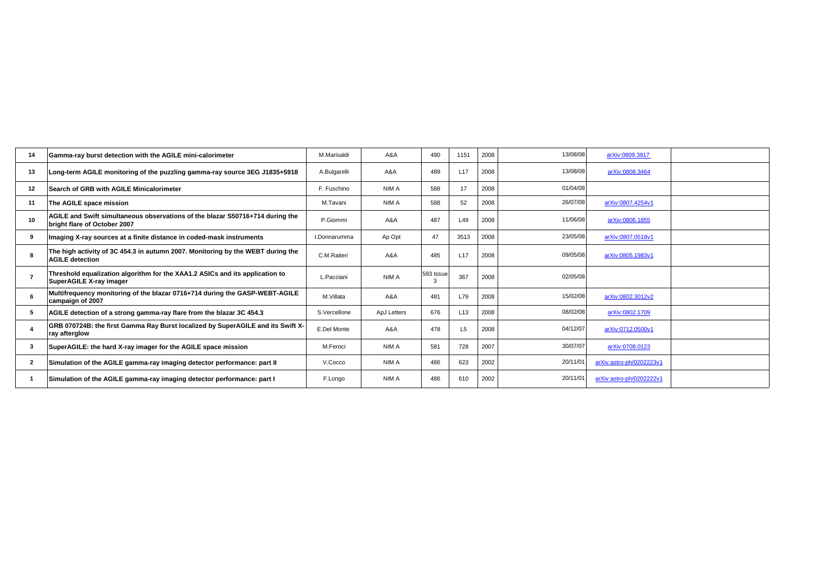| 14             | Gamma-ray burst detection with the AGILE mini-calorimeter                                                     | M.Marisaldi  | A&A         | 490            | 1151            | 2008 | 13/08/08 | arXiv:0809.3917          |
|----------------|---------------------------------------------------------------------------------------------------------------|--------------|-------------|----------------|-----------------|------|----------|--------------------------|
| 13             | Long-term AGILE monitoring of the puzzling gamma-ray source 3EG J1835+5918                                    | A.Bulgarelli | A&A         | 489            | L <sub>17</sub> | 2008 | 13/08/08 | arXiv:0808.3464          |
| 12             | Search of GRB with AGILE Minicalorimeter                                                                      | F. Fuschino  | NIM A       | 588            | 17              | 2008 | 01/04/08 |                          |
| 11             | The AGILE space mission                                                                                       | M.Tavani     | NIM A       | 588            | 52              | 2008 | 26/07/08 | arXiv:0807.4254v1        |
| 10             | AGILE and Swift simultaneous observations of the blazar S50716+714 during the<br>bright flare of October 2007 | P.Giommi     | A&A         | 487            | L49             | 2008 | 11/06/08 | arXiv:0806.1855          |
| 9              | Imaging X-ray sources at a finite distance in coded-mask instruments                                          | I.Donnarumma | Ap Opt      | 47             | 3513            | 2008 | 23/05/08 | arXiv:0807.0518v1        |
| 8              | The high activity of 3C 454.3 in autumn 2007. Monitoring by the WEBT during the<br><b>AGILE detection</b>     | C.M.Raiteri  | A&A         | 485            | L <sub>17</sub> | 2008 | 09/05/08 | arXiv:0805.1983v1        |
| 7              | Threshold equalization algorithm for the XAA1.2 ASICs and its application to<br>SuperAGILE X-ray imager       | L.Pacciani   | NIM A       | 593 Issue<br>3 | 367             | 2008 | 02/05/08 |                          |
| 6              | Multifrequency monitoring of the blazar 0716+714 during the GASP-WEBT-AGILE<br>campaign of 2007               | M.Villata    | A&A         | 481            | L79             | 2008 | 15/02/08 | arXiv:0802.3012v2        |
| -5             | AGILE detection of a strong gamma-ray flare from the blazar 3C 454.3                                          | S.Vercellone | ApJ Letters | 676            | L <sub>13</sub> | 2008 | 08/02/08 | arXiv:0802.1709          |
|                | GRB 070724B: the first Gamma Ray Burst localized by SuperAGILE and its Swift X-<br>ray afterglow              | E.Del Monte  | A&A         | 478            | L <sub>5</sub>  | 2008 | 04/12/07 | arXiv:0712.0500v1        |
| 3              | SuperAGILE: the hard X-ray imager for the AGILE space mission                                                 | M.Feroci     | NIM A       | 581            | 728             | 2007 | 30/07/07 | arXiv:0708.0123          |
| $\overline{2}$ | Simulation of the AGILE gamma-ray imaging detector performance: part II                                       | V.Cocco      | NIM A       | 486            | 623             | 2002 | 20/11/01 | arXiv:astro-ph/0202223v1 |
|                | Simulation of the AGILE gamma-ray imaging detector performance: part I                                        | F.Longo      | NIM A       | 486            | 610             | 2002 | 20/11/01 | arXiv:astro-ph/0202222v1 |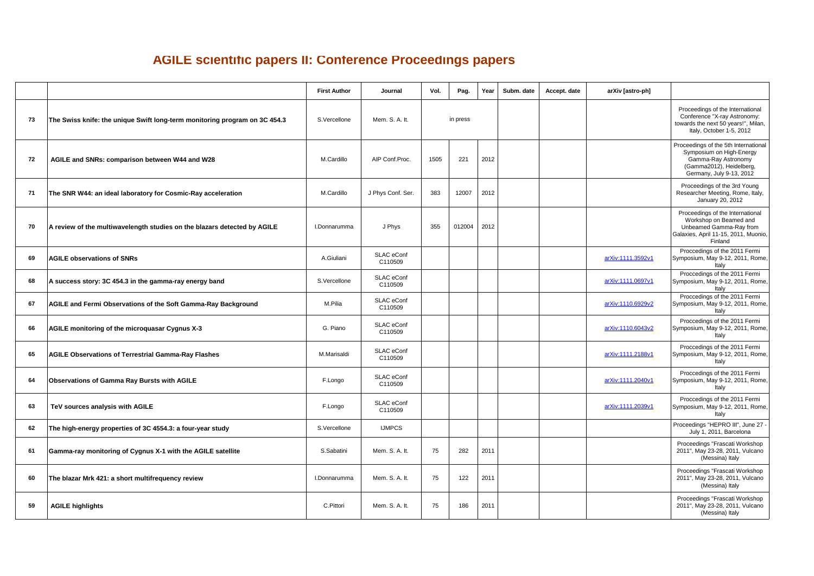## **AGILE scientific papers II: Conference Proceedings papers**

|    |                                                                            | <b>First Author</b> | Journal               | Vol. | Pag.     | Year | Subm. date | Accept. date<br>arXiv [astro-ph] |                                                                                                                                                 |  |                                                                                                                                     |
|----|----------------------------------------------------------------------------|---------------------|-----------------------|------|----------|------|------------|----------------------------------|-------------------------------------------------------------------------------------------------------------------------------------------------|--|-------------------------------------------------------------------------------------------------------------------------------------|
| 73 | The Swiss knife: the unique Swift long-term monitoring program on 3C 454.3 | S.Vercellone        | Mem. S. A. It.        |      | in press |      |            |                                  |                                                                                                                                                 |  | Proceedings of the International<br>Conference "X-ray Astronomy:<br>towards the next 50 years!", Milan,<br>Italy, October 1-5, 2012 |
| 72 | AGILE and SNRs: comparison between W44 and W28                             | M.Cardillo          | AIP Conf.Proc.        | 1505 | 221      | 2012 |            |                                  | Proceedings of the 5th International<br>Symposium on High-Energy<br>Gamma-Ray Astronomy<br>(Gamma2012), Heidelberg,<br>Germany, July 9-13, 2012 |  |                                                                                                                                     |
| 71 | The SNR W44: an ideal laboratory for Cosmic-Ray acceleration               | M.Cardillo          | J Phys Conf. Ser.     | 383  | 12007    | 2012 |            |                                  | Proceedings of the 3rd Young<br>Researcher Meeting, Rome, Italy,<br>January 20, 2012                                                            |  |                                                                                                                                     |
| 70 | A review of the multiwavelength studies on the blazars detected by AGILE   | I.Donnarumma        | J Phys                | 355  | 012004   | 2012 |            |                                  | Proceedings of the International<br>Workshop on Beamed and<br>Unbeamed Gamma-Ray from<br>Galaxies, April 11-15, 2011, Muonio,<br>Finland        |  |                                                                                                                                     |
| 69 | <b>AGILE observations of SNRs</b>                                          | A.Giuliani          | SLAC eConf<br>C110509 |      |          |      |            | arXiv:1111.3592v1                | Proccedings of the 2011 Fermi<br>Symposium, May 9-12, 2011, Rome,<br>Italy                                                                      |  |                                                                                                                                     |
| 68 | A success story: 3C 454.3 in the gamma-ray energy band                     | S.Vercellone        | SLAC eConf<br>C110509 |      |          |      |            | arXiv:1111.0697v1                | Proccedings of the 2011 Fermi<br>Symposium, May 9-12, 2011, Rome,<br>Italy                                                                      |  |                                                                                                                                     |
| 67 | AGILE and Fermi Observations of the Soft Gamma-Ray Background              | M.Pilia             | SLAC eConf<br>C110509 |      |          |      |            | arXiv:1110.6929v2                | Proccedings of the 2011 Fermi<br>Symposium, May 9-12, 2011, Rome,<br>Italy                                                                      |  |                                                                                                                                     |
| 66 | AGILE monitoring of the microquasar Cygnus X-3                             | G. Piano            | SLAC eConf<br>C110509 |      |          |      |            | arXiv:1110.6043v2                | Proccedings of the 2011 Fermi<br>Symposium, May 9-12, 2011, Rome,<br>Italy                                                                      |  |                                                                                                                                     |
| 65 | <b>AGILE Observations of Terrestrial Gamma-Ray Flashes</b>                 | M.Marisaldi         | SLAC eConf<br>C110509 |      |          |      |            | arXiv:1111.2188v1                | Proccedings of the 2011 Fermi<br>Symposium, May 9-12, 2011, Rome,<br>Italy                                                                      |  |                                                                                                                                     |
| 64 | <b>Observations of Gamma Ray Bursts with AGILE</b>                         | F.Longo             | SLAC eConf<br>C110509 |      |          |      |            | arXiv:1111.2040v1                | Proccedings of the 2011 Fermi<br>Symposium, May 9-12, 2011, Rome,<br>Italy                                                                      |  |                                                                                                                                     |
| 63 | TeV sources analysis with AGILE                                            | F.Longo             | SLAC eConf<br>C110509 |      |          |      |            | arXiv:1111.2039v1                | Proccedings of the 2011 Fermi<br>Symposium, May 9-12, 2011, Rome,<br>Italy                                                                      |  |                                                                                                                                     |
| 62 | The high-energy properties of 3C 4554.3: a four-year study                 | S.Vercellone        | <b>IJMPCS</b>         |      |          |      |            |                                  | Proceedings "HEPRO III", June 27 -<br>July 1, 2011, Barcelona                                                                                   |  |                                                                                                                                     |
| 61 | Gamma-ray monitoring of Cygnus X-1 with the AGILE satellite                | S.Sabatini          | Mem. S. A. It.        | 75   | 282      | 2011 |            |                                  | Proceedings "Frascati Workshop<br>2011", May 23-28, 2011, Vulcano<br>(Messina) Italy                                                            |  |                                                                                                                                     |
| 60 | The blazar Mrk 421: a short multifrequency review                          | I.Donnarumma        | Mem. S. A. It.        | 75   | 122      | 2011 |            |                                  | Proceedings "Frascati Workshop<br>2011", May 23-28, 2011, Vulcano<br>(Messina) Italy                                                            |  |                                                                                                                                     |
| 59 | <b>AGILE highlights</b>                                                    | C.Pittori           | Mem. S. A. It.        | 75   | 186      | 2011 |            |                                  | Proceedings "Frascati Workshop<br>2011", May 23-28, 2011, Vulcano<br>(Messina) Italy                                                            |  |                                                                                                                                     |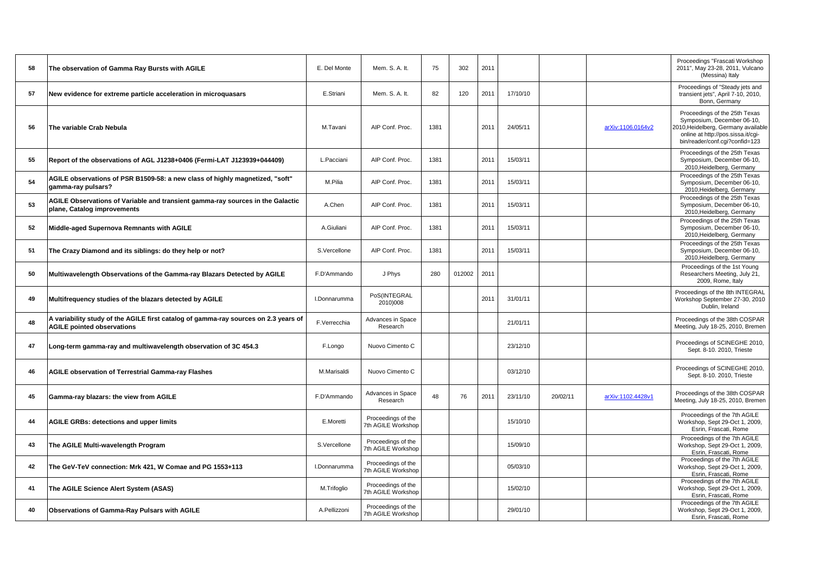| 58 | The observation of Gamma Ray Bursts with AGILE                                                                           | E. Del Monte | Mem. S. A. It.                           | 75   | 302    | 2011 |          |          |                   | Proceedings "Frascati Workshop<br>2011", May 23-28, 2011, Vulcano<br>(Messina) Italy                                                                                       |
|----|--------------------------------------------------------------------------------------------------------------------------|--------------|------------------------------------------|------|--------|------|----------|----------|-------------------|----------------------------------------------------------------------------------------------------------------------------------------------------------------------------|
| 57 | New evidence for extreme particle acceleration in microquasars                                                           | E.Striani    | Mem. S. A. It.                           | 82   | 120    | 2011 | 17/10/10 |          |                   | Proceedings of "Steady jets and<br>transient jets", April 7-10, 2010,<br>Bonn, Germany                                                                                     |
| 56 | The variable Crab Nebula                                                                                                 | M.Tavani     | AIP Conf. Proc.                          | 1381 |        | 2011 | 24/05/11 |          | arXiv:1106.0164v2 | Proceedings of the 25th Texas<br>Symposium, December 06-10,<br>2010, Heidelberg, Germany available<br>online at http://pos.sissa.it/cgi-<br>bin/reader/conf.cqi?confid=123 |
| 55 | Report of the observations of AGL J1238+0406 (Fermi-LAT J123939+044409)                                                  | L.Pacciani   | AIP Conf. Proc.                          | 1381 |        | 2011 | 15/03/11 |          |                   | Proceedings of the 25th Texas<br>Symposium, December 06-10,<br>2010, Heidelberg, Germany                                                                                   |
| 54 | AGILE observations of PSR B1509-58: a new class of highly magnetized, "soft"<br>gamma-ray pulsars?                       | M.Pilia      | AIP Conf. Proc.                          | 1381 |        | 2011 | 15/03/11 |          |                   | Proceedings of the 25th Texas<br>Symposium, December 06-10,<br>2010, Heidelberg, Germany                                                                                   |
| 53 | AGILE Observations of Variable and transient gamma-ray sources in the Galactic<br>plane, Catalog improvements            | A.Chen       | AIP Conf. Proc.                          | 1381 |        | 2011 | 15/03/11 |          |                   | Proceedings of the 25th Texas<br>Symposium, December 06-10,<br>2010, Heidelberg, Germany                                                                                   |
| 52 | Middle-aged Supernova Remnants with AGILE                                                                                | A.Giuliani   | AIP Conf. Proc.                          | 1381 |        | 2011 | 15/03/11 |          |                   | Proceedings of the 25th Texas<br>Symposium, December 06-10,<br>2010, Heidelberg, Germany                                                                                   |
| 51 | The Crazy Diamond and its siblings: do they help or not?                                                                 | S.Vercellone | AIP Conf. Proc.                          | 1381 |        | 2011 | 15/03/11 |          |                   | Proceedings of the 25th Texas<br>Symposium, December 06-10,<br>2010, Heidelberg, Germany                                                                                   |
| 50 | Multiwavelength Observations of the Gamma-ray Blazars Detected by AGILE                                                  | F.D'Ammando  | J Phys                                   | 280  | 012002 | 2011 |          |          |                   | Proceedings of the 1st Young<br>Researchers Meeting, July 21,<br>2009, Rome, Italy                                                                                         |
| 49 | Multifrequency studies of the blazars detected by AGILE                                                                  | I.Donnarumma | PoS(INTEGRAL<br>2010)008                 |      |        | 2011 | 31/01/11 |          |                   | Proceedings of the 8th INTEGRAL<br>Workshop September 27-30, 2010<br>Dublin, Ireland                                                                                       |
| 48 | A variability study of the AGILE first catalog of gamma-ray sources on 2.3 years of<br><b>AGILE pointed observations</b> | F.Verrecchia | Advances in Space<br>Research            |      |        |      | 21/01/11 |          |                   | Proceedings of the 38th COSPAR<br>Meeting, July 18-25, 2010, Bremen                                                                                                        |
| 47 | Long-term gamma-ray and multiwavelength observation of 3C 454.3                                                          | F.Longo      | Nuovo Cimento C                          |      |        |      | 23/12/10 |          |                   | Proceedings of SCINEGHE 2010,<br>Sept. 8-10. 2010, Trieste                                                                                                                 |
| 46 | <b>AGILE observation of Terrestrial Gamma-ray Flashes</b>                                                                | M.Marisaldi  | Nuovo Cimento C                          |      |        |      | 03/12/10 |          |                   | Proceedings of SCINEGHE 2010,<br>Sept. 8-10. 2010, Trieste                                                                                                                 |
| 45 | Gamma-ray blazars: the view from AGILE                                                                                   | F.D'Ammando  | Advances in Space<br>Research            | 48   | 76     | 2011 | 23/11/10 | 20/02/11 | arXiv:1102.4428v1 | Proceedings of the 38th COSPAR<br>Meeting, July 18-25, 2010, Bremen                                                                                                        |
| 44 | <b>AGILE GRBs: detections and upper limits</b>                                                                           | E.Moretti    | Proceedings of the<br>7th AGILE Workshop |      |        |      | 15/10/10 |          |                   | Proceedings of the 7th AGILE<br>Workshop, Sept 29-Oct 1, 2009,<br>Esrin, Frascati, Rome                                                                                    |
| 43 | The AGILE Multi-wavelength Program                                                                                       | S.Vercellone | Proceedings of the<br>7th AGILE Workshop |      |        |      | 15/09/10 |          |                   | Proceedings of the 7th AGILE<br>Workshop, Sept 29-Oct 1, 2009,<br>Esrin, Frascati, Rome                                                                                    |
| 42 | The GeV-TeV connection: Mrk 421, W Comae and PG 1553+113                                                                 | I.Donnarumma | Proceedings of the<br>7th AGILE Workshop |      |        |      | 05/03/10 |          |                   | Proceedings of the 7th AGILE<br>Workshop, Sept 29-Oct 1, 2009,<br>Esrin, Frascati, Rome                                                                                    |
| 41 | The AGILE Science Alert System (ASAS)                                                                                    | M.Trifoglio  | Proceedings of the<br>7th AGILE Workshop |      |        |      | 15/02/10 |          |                   | Proceedings of the 7th AGILE<br>Workshop, Sept 29-Oct 1, 2009,<br>Esrin, Frascati, Rome                                                                                    |
| 40 | Observations of Gamma-Ray Pulsars with AGILE                                                                             | A.Pellizzoni | Proceedings of the<br>7th AGILE Workshop |      |        |      | 29/01/10 |          |                   | Proceedings of the 7th AGILE<br>Workshop, Sept 29-Oct 1, 2009,<br>Esrin, Frascati, Rome                                                                                    |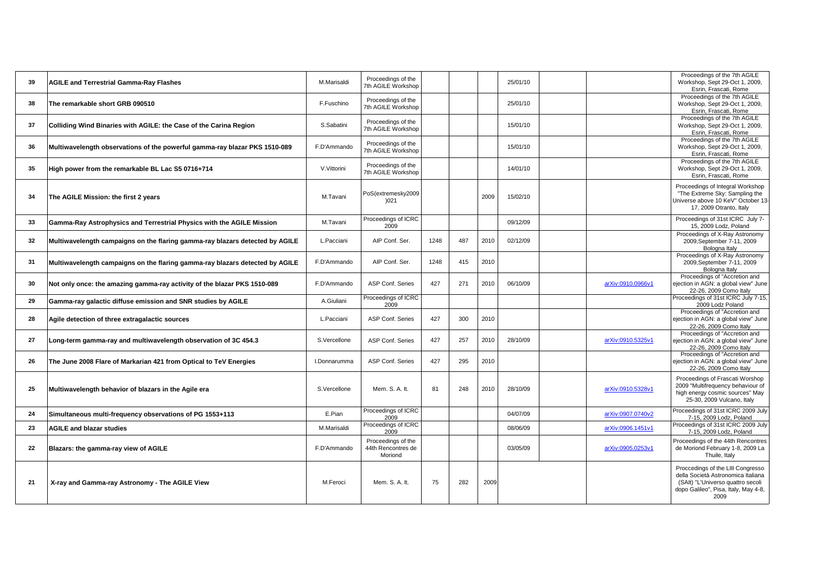| 39 | <b>AGILE and Terrestrial Gamma-Ray Flashes</b>                               | M.Marisaldi  | Proceedings of the<br>7th AGILE Workshop            |      |     |      | 25/01/10 |                   | Proceedings of the 7th AGILE<br>Workshop, Sept 29-Oct 1, 2009,<br>Esrin, Frascati, Rome                                                                      |
|----|------------------------------------------------------------------------------|--------------|-----------------------------------------------------|------|-----|------|----------|-------------------|--------------------------------------------------------------------------------------------------------------------------------------------------------------|
| 38 | The remarkable short GRB 090510                                              | F.Fuschino   | Proceedings of the<br>7th AGILE Workshop            |      |     |      | 25/01/10 |                   | Proceedings of the 7th AGILE<br>Workshop, Sept 29-Oct 1, 2009,<br>Esrin, Frascati, Rome                                                                      |
| 37 | Colliding Wind Binaries with AGILE: the Case of the Carina Region            | S.Sabatini   | Proceedings of the<br>7th AGILE Workshop            |      |     |      | 15/01/10 |                   | Proceedings of the 7th AGILE<br>Workshop, Sept 29-Oct 1, 2009,<br>Esrin, Frascati, Rome                                                                      |
| 36 | Multiwavelength observations of the powerful gamma-ray blazar PKS 1510-089   | F.D'Ammando  | Proceedings of the<br>7th AGILE Workshop            |      |     |      | 15/01/10 |                   | Proceedings of the 7th AGILE<br>Workshop, Sept 29-Oct 1, 2009,<br>Esrin, Frascati, Rome                                                                      |
| 35 | High power from the remarkable BL Lac S5 0716+714                            | V.Vittorini  | Proceedings of the<br>7th AGILE Workshop            |      |     |      | 14/01/10 |                   | Proceedings of the 7th AGILE<br>Workshop, Sept 29-Oct 1, 2009,<br>Esrin, Frascati, Rome                                                                      |
| 34 | The AGILE Mission: the first 2 years                                         | M.Tavani     | PoS(extremesky2009<br>)021                          |      |     | 2009 | 15/02/10 |                   | Proceedings of Integral Workshop<br>"The Extreme Sky: Sampling the<br>Universe above 10 KeV" October 13-<br>17, 2009 Otranto, Italy                          |
| 33 | Gamma-Ray Astrophysics and Terrestrial Physics with the AGILE Mission        | M.Tavani     | Proceedings of ICRC<br>2009                         |      |     |      | 09/12/09 |                   | Proceedings of 31st ICRC July 7-<br>15, 2009 Lodz, Poland                                                                                                    |
| 32 | Multiwavelength campaigns on the flaring gamma-ray blazars detected by AGILE | L.Pacciani   | AIP Conf. Ser.                                      | 1248 | 487 | 2010 | 02/12/09 |                   | Proceedings of X-Ray Astronomy<br>2009, September 7-11, 2009<br>Bologna Italy                                                                                |
| 31 | Multiwavelength campaigns on the flaring gamma-ray blazars detected by AGILE | F.D'Ammando  | AIP Conf. Ser.                                      | 1248 | 415 | 2010 |          |                   | Proceedings of X-Ray Astronomy<br>2009, September 7-11, 2009<br>Bologna Italy                                                                                |
| 30 | Not only once: the amazing gamma-ray activity of the blazar PKS 1510-089     | F.D'Ammando  | ASP Conf. Series                                    | 427  | 271 | 2010 | 06/10/09 | arXiv:0910.0966v1 | Proceedings of "Accretion and<br>ejection in AGN: a global view" June<br>22-26, 2009 Como Italy                                                              |
| 29 | Gamma-ray galactic diffuse emission and SNR studies by AGILE                 | A.Giuliani   | Proceedings of ICRC<br>2009                         |      |     |      |          |                   | Proceedings of 31st ICRC July 7-15,<br>2009 Lodz Poland                                                                                                      |
| 28 | Agile detection of three extragalactic sources                               | L.Pacciani   | ASP Conf. Series                                    | 427  | 300 | 2010 |          |                   | Proceedings of "Accretion and<br>ejection in AGN: a global view" June<br>22-26, 2009 Como Italy                                                              |
| 27 | Long-term gamma-ray and multiwavelength observation of 3C 454.3              | S.Vercellone | ASP Conf. Series                                    | 427  | 257 | 2010 | 28/10/09 | arXiv:0910.5325v1 | Proceedings of "Accretion and<br>ejection in AGN: a global view" June<br>22-26, 2009 Como Italy                                                              |
| 26 | The June 2008 Flare of Markarian 421 from Optical to TeV Energies            | I.Donnarumma | ASP Conf. Series                                    | 427  | 295 | 2010 |          |                   | Proceedings of "Accretion and<br>ejection in AGN: a global view" June<br>22-26, 2009 Como Italy                                                              |
| 25 | Multiwavelength behavior of blazars in the Agile era                         | S.Vercellone | Mem. S. A. It.                                      | 81   | 248 | 2010 | 28/10/09 | arXiv:0910.5328v1 | Proceedings of Frascati Worshop<br>2009 "Multifrequency behaviour of<br>high energy cosmic sources" May<br>25-30, 2009 Vulcano, Italy                        |
| 24 | Simultaneous multi-frequency observations of PG 1553+113                     | E.Pian       | Proceedings of ICRC<br>2009                         |      |     |      | 04/07/09 | arXiv:0907.0740v2 | Proceedings of 31st ICRC 2009 July<br>7-15, 2009 Lodz, Poland                                                                                                |
| 23 | <b>AGILE and blazar studies</b>                                              | M.Marisaldi  | Proceedings of ICRC<br>2009                         |      |     |      | 08/06/09 | arXiv:0906.1451v1 | Proceedings of 31st ICRC 2009 July<br>7-15, 2009 Lodz, Poland                                                                                                |
| 22 | Blazars: the gamma-ray view of AGILE                                         | F.D'Ammando  | Proceedings of the<br>44th Rencontres de<br>Moriond |      |     |      | 03/05/09 | arXiv:0905.0253v1 | Proceedings of the 44th Rencontres<br>de Moriond February 1-8, 2009 La<br>Thuile, Italy                                                                      |
| 21 | X-ray and Gamma-ray Astronomy - The AGILE View                               | M.Feroci     | Mem. S. A. It.                                      | 75   | 282 | 2009 |          |                   | Proccedings of the LIII Congresso<br>della Società Astronomica Italiana<br>(SAIt) "L'Universo quattro secoli<br>dopo Galileo", Pisa, Italy, May 4-8,<br>2009 |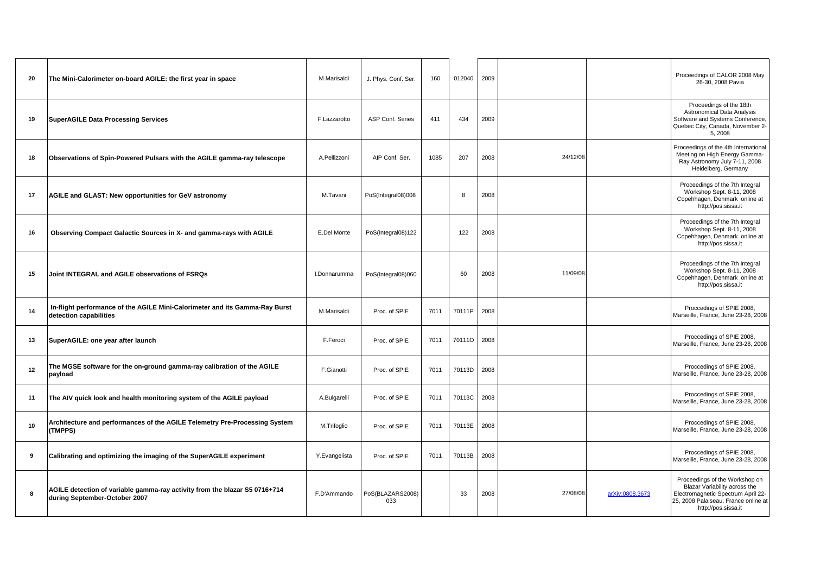| 20 | The Mini-Calorimeter on-board AGILE: the first year in space                                                | M.Marisaldi   | J. Phys. Conf. Ser.     | 160  | 012040 | 2009 |          | Proceedings of CALOR 2008 May<br>26-30, 2008 Pavia                                                                                                                                      |
|----|-------------------------------------------------------------------------------------------------------------|---------------|-------------------------|------|--------|------|----------|-----------------------------------------------------------------------------------------------------------------------------------------------------------------------------------------|
| 19 | <b>SuperAGILE Data Processing Services</b>                                                                  | F.Lazzarotto  | <b>ASP Conf. Series</b> | 411  | 434    | 2009 |          | Proceedings of the 18th<br><b>Astronomical Data Analysis</b><br>Software and Systems Conference,<br>Quebec City, Canada, November 2-<br>5,2008                                          |
| 18 | Observations of Spin-Powered Pulsars with the AGILE gamma-ray telescope                                     | A.Pellizzoni  | AIP Conf. Ser.          | 1085 | 207    | 2008 | 24/12/08 | Proceedings of the 4th International<br>Meeting on High Energy Gamma-<br>Ray Astronomy July 7-11, 2008<br>Heidelberg, Germany                                                           |
| 17 | AGILE and GLAST: New opportunities for GeV astronomy                                                        | M.Tavani      | PoS(Integral08)008      |      | 8      | 2008 |          | Proceedings of the 7th Integral<br>Workshop Sept. 8-11, 2008<br>Copehhagen, Denmark online at<br>http://pos.sissa.it                                                                    |
| 16 | Observing Compact Galactic Sources in X- and gamma-rays with AGILE                                          | E.Del Monte   | PoS(Integral08)122      |      | 122    | 2008 |          | Proceedings of the 7th Integral<br>Workshop Sept. 8-11, 2008<br>Copehhagen, Denmark online at<br>http://pos.sissa.it                                                                    |
| 15 | Joint INTEGRAL and AGILE observations of FSRQs                                                              | I.Donnarumma  | PoS(Integral08)060      |      | 60     | 2008 | 11/09/08 | Proceedings of the 7th Integral<br>Workshop Sept. 8-11, 2008<br>Copehhagen, Denmark online at<br>http://pos.sissa.it                                                                    |
| 14 | In-flight performance of the AGILE Mini-Calorimeter and its Gamma-Ray Burst<br>detection capabilities       | M.Marisaldi   | Proc. of SPIE           | 7011 | 70111P | 2008 |          | Proccedings of SPIE 2008,<br>Marseille, France, June 23-28, 2008                                                                                                                        |
| 13 | SuperAGILE: one year after launch                                                                           | F.Feroci      | Proc. of SPIE           | 7011 | 701110 | 2008 |          | Proccedings of SPIE 2008,<br>Marseille, France, June 23-28, 2008                                                                                                                        |
| 12 | The MGSE software for the on-ground gamma-ray calibration of the AGILE<br>payload                           | F.Gianotti    | Proc. of SPIE           | 7011 | 70113D | 2008 |          | Proccedings of SPIE 2008,<br>Marseille, France, June 23-28, 2008                                                                                                                        |
| 11 | The AIV quick look and health monitoring system of the AGILE payload                                        | A.Bulgarelli  | Proc. of SPIE           | 7011 | 70113C | 2008 |          | Proccedings of SPIE 2008,<br>Marseille, France, June 23-28, 2008                                                                                                                        |
| 10 | Architecture and performances of the AGILE Telemetry Pre-Processing System<br>(TMPPS)                       | M.Trifoglio   | Proc. of SPIE           | 7011 | 70113E | 2008 |          | Proccedings of SPIE 2008,<br>Marseille, France, June 23-28, 2008                                                                                                                        |
| 9  | Calibrating and optimizing the imaging of the SuperAGILE experiment                                         | Y.Evangelista | Proc. of SPIE           | 7011 | 70113B | 2008 |          | Proccedings of SPIE 2008,<br>Marseille, France, June 23-28, 2008                                                                                                                        |
| 8  | AGILE detection of variable gamma-ray activity from the blazar S5 0716+714<br>during September-October 2007 | F.D'Ammando   | PoS(BLAZARS2008)<br>033 |      | 33     | 2008 | 27/08/08 | Proceedings of the Workshop on<br>Blazar Variability across the<br>arXiv:0808.3673<br>Electromagnetic Spectrum April 22-<br>25, 2008 Palaiseau, France online at<br>http://pos.sissa.it |